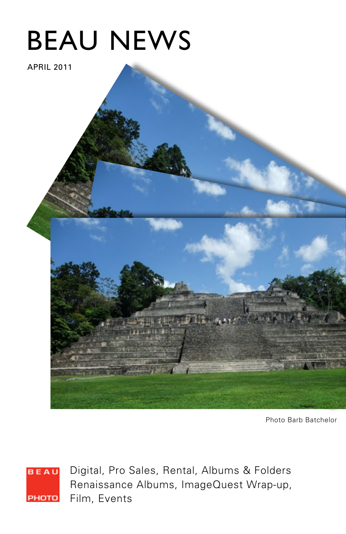# BEAU NEWS

APRIL 2011

Photo Barb Batchelor

**BEAU** PHOTO

Digital, Pro Sales, Rental, Albums & Folders Renaissance Albums, ImageQuest Wrap-up, Film, Events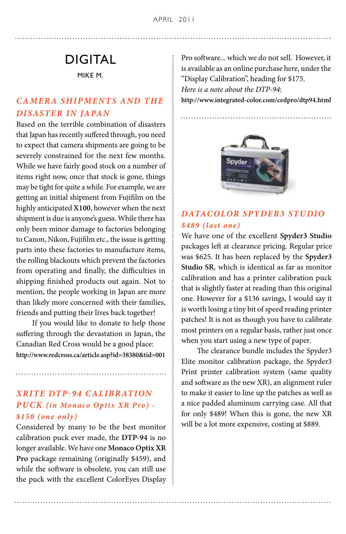# DIGITAL

MIKE M.

# *Camera Shipments and the Disaster in Japan*

Based on the terrible combination of disasters that Japan has recently suffered through, you need to expect that camera shipments are going to be severely constrained for the next few months. While we have fairly good stock on a number of items right now, once that stock is gone, things may be tight for quite a while. For example, we are getting an initial shipment from Fujifilm on the highly anticipated **X100**, however when the next shipment is due is anyone's guess. While there has only been minor damage to factories belonging to Canon, Nikon, Fujifilm etc., the issue is getting parts into these factories to manufacture items, the rolling blackouts which prevent the factories from operating and finally, the difficulties in shipping finished products out again. Not to mention, the people working in Japan are more than likely more concerned with their families, friends and putting their lives back together!

 If you would like to donate to help those suffering through the devastation in Japan, the Canadian Red Cross would be a good place: **http://www.redcross.ca/article.asp?id=38380&tid=001**

## *XRite DTP-94 Calibr ation Puck (in Monaco Optix XR Pro) - \$150 (one only)*

Considered by many to be the best monitor calibration puck ever made, the **DTP-94** is no longer available. We have one **Monaco Optix XR Pro** package remaining (originally \$459), and while the software is obsolete, you can still use the puck with the excellent ColorEyes Display Pro software... which we do not sell. However, it is available as an online purchase here, under the "Display Calibration", heading for \$175. *Here is a note about the DTP-94*: **http://www.integrated-color.com/cedpro/dtp94.html**



# *DataC olor Spyder3 Studio \$489 (last one)*

We have one of the excellent **Spyder3 Studio**  packages left at clearance pricing. Regular price was \$625. It has been replaced by the **Spyder3 Studio SR**, which is identical as far as monitor calibration and has a printer calibration puck that is slightly faster at reading than this original one. However for a \$136 savings, I would say it is worth losing a tiny bit of speed reading printer patches! It is not as though you have to calibrate most printers on a regular basis, rather just once when you start using a new type of paper.

 The clearance bundle includes the Spyder3 Elite monitor calibration package, the Spyder3 Print printer calibration system (same quality and software as the new XR), an alignment ruler to make it easier to line up the patches as well as a nice padded aluminum carrying case. All that for only \$489! When this is gone, the new XR will be a lot more expensive, costing at \$889.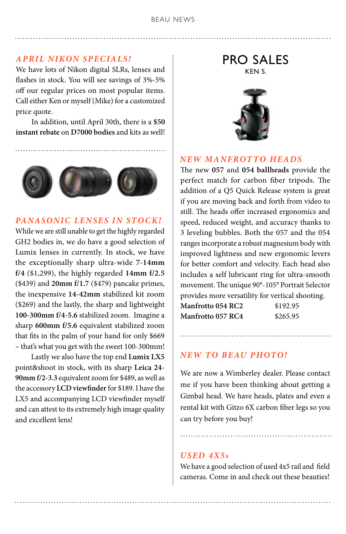#### BEAU NEWS

#### *April NIKOn SpecialS!*

We have lots of Nikon digital SLRs, lenses and flashes in stock. You will see savings of 3%-5% off our regular prices on most popular items. Call either Ken or myself (Mike) for a customized price quote.

 In addition, until April 30th, there is a **\$50 instant rebate** on **D7000 bodies** and kits as well!



#### **PANASONIC LENSES IN STOCK!**

While we are still unable to get the highly regarded GH2 bodies in, we do have a good selection of Lumix lenses in currently. In stock, we have the exceptionally sharp ultra-wide **7-14mm f/4** (\$1,299), the highly regarded **14mm f/2.5**  (\$439) and **20mm f/1.7** (\$479) pancake primes, the inexpensive **14-42mm** stabilized kit zoom (\$269) and the lastly, the sharp and lightweight **100-300mm f/4-5.6** stabilized zoom. Imagine a sharp **600mm f/5.6** equivalent stabilized zoom that fits in the palm of your hand for only \$669 – that's what you get with the sweet 100-300mm!

 Lastly we also have the top end **Lumix LX5**  point&shoot in stock, with its sharp **Leica 24- 90mm f/2-3.3** equivalent zoom for \$489, as well as the accessory **LCD viewfinder** for \$189. I have the LX5 and accompanying LCD viewfinder myself and can attest to its extremely high image quality and excellent lens!

PRO SALES KEN S.



#### *NEW Manfrotto heads*

The new **057** and **054 ballheads** provide the perfect match for carbon fiber tripods. The addition of a Q5 Quick Release system is great if you are moving back and forth from video to still. The heads offer increased ergonomics and speed, reduced weight, and accuracy thanks to 3 leveling bubbles. Both the 057 and the 054 ranges incorporate a robust magnesium body with improved lightness and new ergonomic levers for better comfort and velocity. Each head also includes a self lubricant ring for ultra-smooth movement. The unique 90°-105° Portrait Selector provides more versatility for vertical shooting.

| <b>Manfrotto 054 RC2</b> | \$192.95 |
|--------------------------|----------|
| <b>Manfrotto 057 RC4</b> | \$265.95 |

#### *New to Beau Photo!*

We are now a Wimberley dealer. Please contact me if you have been thinking about getting a Gimbal head. We have heads, plates and even a rental kit with Gitzo 6X carbon fiber legs so you can try before you buy!

#### *Used 4x5s*

We have a good selection of used 4x5 rail and field cameras. Come in and check out these beauties!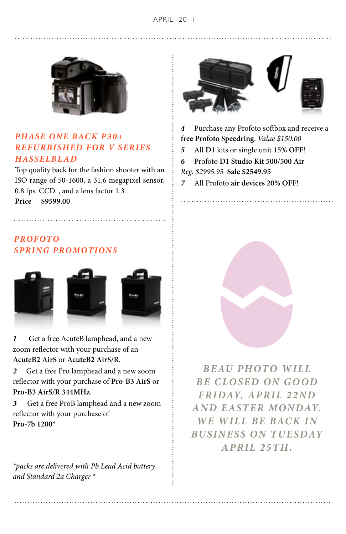

## *Phase one back P3 0+ Refurbished for V Series Hasselbl ad*

Top quality back for the fashion shooter with an ISO range of 50-1600, a 31.6 megapixel sensor, 0.8 fps. CCD. , and a lens factor 1.3 **Price \$9599.00** 

## *Profoto SPRING PROMOTIONS*



*1* Get a free AcuteB lamphead, and a new zoom reflector with your purchase of an **AcuteB2 AirS** or **AcuteB2 AirS/R**.

*2* Get a free Pro lamphead and a new zoom reflector with your purchase of **Pro-B3 AirS** or **Pro-B3 AirS/R 344MHz**.

*3* Get a free ProB lamphead and a new zoom reflector with your purchase of **Pro-7b 1200**\*

*\*packs are delivered with Pb Lead Acid battery and Standard 2a Charger \**



*4* Purchase any Profoto softbox and receive a **free Profoto Speedring**. *Value \$150.00*

- *5* All **D1** kits or single unit **15% OFF**!
- *6* Profoto **D1 Studio Kit 500/500 Air**
- *Reg. \$2995.95* **Sale \$2549.95**
- *7* All Profoto **air devices 20% OFF**!



*Beau Photo will be closed on Go od Friday, April 22nd and Easter Monday. We will be back in business on Tu esday April 25th.*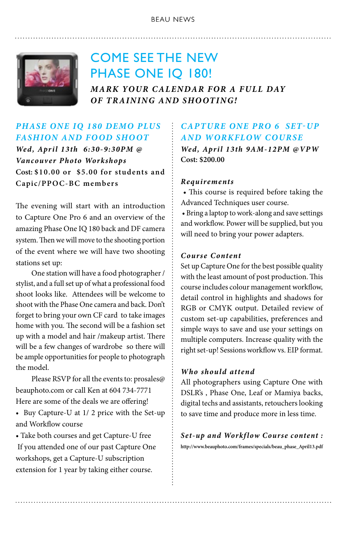#### BEAU NEWS



# COME SEE THE NEW PHASE ONE IQ 180!

*Mark your calendAr for A FULL DAY of training and shooting!* 

# *Phase One IQ 180 Demo plus Fashion and Food shoot*

*Wed, April 13th 6:30-9:30PM @ Vancouver Photo Workshops*  **Cost: \$10.00 or \$5.00 for students and Capic/PPOC-BC members**

The evening will start with an introduction to Capture One Pro 6 and an overview of the amazing Phase One IQ 180 back and DF camera system. Then we will move to the shooting portion of the event where we will have two shooting stations set up:

 One station will have a food photographer / stylist, and a full set up of what a professional food shoot looks like. Attendees will be welcome to shoot with the Phase One camera and back. Don't forget to bring your own CF card to take images home with you. The second will be a fashion set up with a model and hair /makeup artist. There will be a few changes of wardrobe so there will be ample opportunities for people to photograph the model.

 Please RSVP for all the events to: prosales@ beauphoto.com or call Ken at 604 734-7771 Here are some of the deals we are offering!

• Buy Capture-U at 1/ 2 price with the Set-up and Workflow course

• Take both courses and get Capture-U free If you attended one of our past Capture One workshops, get a Capture-U subscription extension for 1 year by taking either course.

# *Capture One PRO 6 Set-up and Workflow Course*

*Wed, April 13th 9AM-12PM @VPW* **Cost: \$200.00**

#### *Requirements*

 • This course is required before taking the Advanced Techniques user course.

 • Bring a laptop to work-along and save settings and workflow. Power will be supplied, but you will need to bring your power adapters.

#### *Course Content*

Set up Capture One for the best possible quality with the least amount of post production. This course includes colour management workflow, detail control in highlights and shadows for RGB or CMYK output. Detailed review of custom set-up capabilities, preferences and simple ways to save and use your settings on multiple computers. Increase quality with the right set-up! Sessions workflow vs. EIP format.

#### *Who should attend*

All photographers using Capture One with DSLR's , Phase One, Leaf or Mamiya backs, digital techs and assistants, retouchers looking to save time and produce more in less time.

*S et-up and Workf low Course content :* **http://www.beauphoto.com/frames/specials/beau\_phase\_April13.pdf**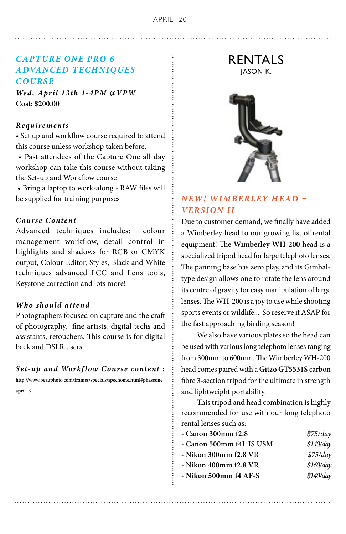## *Capture One PRO 6 Adva nced Techniqu es Course*

*Wed, April 13th 1-4PM @VPW* **Cost: \$200.00**

#### *Requirements*

• Set up and workflow course required to attend this course unless workshop taken before.

 • Past attendees of the Capture One all day workshop can take this course without taking the Set-up and Workflow course

 • Bring a laptop to work-along - RAW files will be supplied for training purposes

#### *Course Content*

Advanced techniques includes: colour management workflow, detail control in highlights and shadows for RGB or CMYK output, Colour Editor, Styles, Black and White techniques advanced LCC and Lens tools, Keystone correction and lots more!

#### *Who should attend*

Photographers focused on capture and the craft of photography, fine artists, digital techs and assistants, retouchers. This course is for digital back and DSLR users.

#### $Set-up$  and Workflow Course content :

**http://www.beauphoto.com/frames/specials/spechome.html#phaseone\_ april13**

RENTALS JASON K.



# *NEW! Wimberley Head – Version II*

Due to customer demand, we finally have added a Wimberley head to our growing list of rental equipment! The **Wimberley WH-200** head is a specialized tripod head for large telephoto lenses. The panning base has zero play, and its Gimbaltype design allows one to rotate the lens around its centre of gravity for easy manipulation of large lenses. The WH-200 is a joy to use while shooting sports events or wildlife... So reserve it ASAP for the fast approaching birding season!

 We also have various plates so the head can be used with various long telephoto lenses ranging from 300mm to 600mm. The Wimberley WH-200 head comes paired with a **Gitzo GT5531S** carbon fibre 3-section tripod for the ultimate in strength and lightweight portability.

 This tripod and head combination is highly recommended for use with our long telephoto rental lenses such as:

| - Canon 300mm f2.8       | \$75/day  |
|--------------------------|-----------|
| - Canon 500mm f4L IS USM | \$140/day |
| - Nikon 300mm f2.8 VR    | \$75/day  |
| - Nikon 400mm f2.8 VR    | \$160/day |
| $-$ Nikon 500mm f4 AF-S  | \$140/day |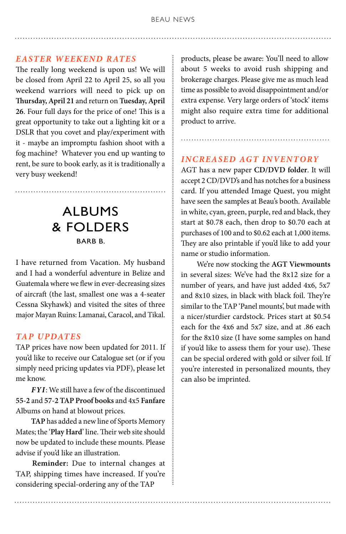#### *Easter Weekend Rates*

The really long weekend is upon us! We will be closed from April 22 to April 25, so all you weekend warriors will need to pick up on **Thursday, April 21** and return on **Tuesday, April 26**. Four full days for the price of one! This is a great opportunity to take out a lighting kit or a DSLR that you covet and play/experiment with it - maybe an impromptu fashion shoot with a fog machine? Whatever you end up wanting to rent, be sure to book early, as it is traditionally a very busy weekend!

# ALBUMS & FOLDERS BARB B.

I have returned from Vacation. My husband and I had a wonderful adventure in Belize and Guatemala where we flew in ever-decreasing sizes of aircraft (the last, smallest one was a 4-seater Cessna Skyhawk) and visited the sites of three major Mayan Ruins: Lamanai, Caracol, and Tikal.

### *TAP UPDATES*

TAP prices have now been updated for 2011. If you'd like to receive our Catalogue set (or if you simply need pricing updates via PDF), please let me know.

 *FYI*: We still have a few of the discontinued **55-2** and **57-2 TAP Proof books** and 4x5 **Fanfare**  Albums on hand at blowout prices.

 **TAP** has added a new line of Sports Memory Mates; the '**Play Hard**' line. Their web site should now be updated to include these mounts. Please advise if you'd like an illustration.

 **Reminder:** Due to internal changes at TAP, shipping times have increased. If you're considering special-ordering any of the TAP

products, please be aware: You'll need to allow about 5 weeks to avoid rush shipping and brokerage charges. Please give me as much lead time as possible to avoid disappointment and/or extra expense. Very large orders of 'stock' items might also require extra time for additional product to arrive.

#### *i ncreased AGT inventory*

AGT has a new paper **CD/DVD folder**. It will accept 2 CD/DVD's and has notches for a business card. If you attended Image Quest, you might have seen the samples at Beau's booth. Available in white, cyan, green, purple, red and black, they start at \$0.78 each, then drop to \$0.70 each at purchases of 100 and to \$0.62 each at 1,000 items. They are also printable if you'd like to add your name or studio information.

 We're now stocking the **AGT Viewmounts**  in several sizes: We've had the 8x12 size for a number of years, and have just added 4x6, 5x7 and 8x10 sizes, in black with black foil. They're similar to the TAP 'Panel mounts', but made with a nicer/sturdier cardstock. Prices start at \$0.54 each for the 4x6 and 5x7 size, and at .86 each for the 8x10 size (I have some samples on hand if you'd like to assess them for your use). These can be special ordered with gold or silver foil. If you're interested in personalized mounts, they can also be imprinted.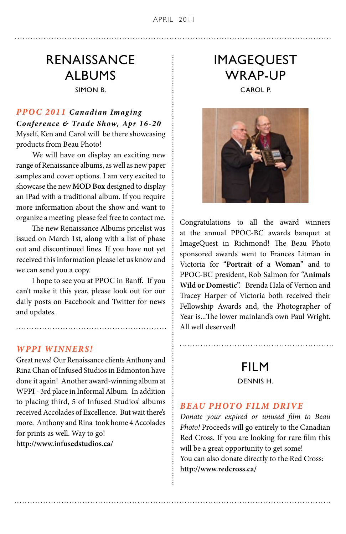# RENAISSANCE ALBUMS SIMON B.

**PPOC 2011 Canadian Imaging** *Conference & Trade Show, Apr 16-20* Myself, Ken and Carol will be there showcasing products from Beau Photo!

 We will have on display an exciting new range of Renaissance albums, as well as new paper samples and cover options. I am very excited to showcase the new **MOD Box** designed to display an iPad with a traditional album. If you require more information about the show and want to organize a meeting please feel free to contact me.

 The new Renaissance Albums pricelist was issued on March 1st, along with a list of phase out and discontinued lines. If you have not yet received this information please let us know and we can send you a copy.

 I hope to see you at PPOC in Banff. If you can't make it this year, please look out for our daily posts on Facebook and Twitter for news and updates.

#### *WPPI WINNERS !*

Great news! Our Renaissance clients Anthony and Rina Chan of Infused Studios in Edmonton have done it again! Another award-winning album at WPPI - 3rd place in Informal Album. In addition to placing third, 5 of Infused Studios' albums received Accolades of Excellence. But wait there's more. Anthony and Rina took home 4 Accolades for prints as well. Way to go! **http://www.infusedstudios.ca/** 

# IMAGEQUEST WRAP-UP CAROL P.



Congratulations to all the award winners at the annual PPOC-BC awards banquet at ImageQuest in Richmond! The Beau Photo sponsored awards went to Frances Litman in Victoria for "**Portrait of a Woman**" and to PPOC-BC president, Rob Salmon for "A**nimals Wild or Domestic**". Brenda Hala of Vernon and Tracey Harper of Victoria both received their Fellowship Awards and, the Photographer of Year is...The lower mainland's own Paul Wright. All well deserved!

# FILM DENNIS H.

#### *BEAU PHOTO FILM DRIVE*

*Donate your expired or unused film to Beau Photo!* Proceeds will go entirely to the Canadian Red Cross. If you are looking for rare film this will be a great opportunity to get some! You can also donate directly to the Red Cross: **http://www.redcross.ca/**